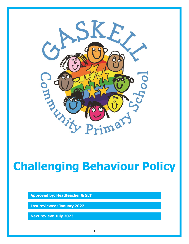

# **Challenging Behaviour Policy**

**Approved by: Headteacher & SLT**

**Last reviewed: January 2022**

**Next review: July 2023**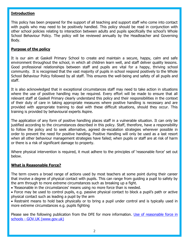## **Introduction**

This policy has been prepared for the support of all teaching and support staff who come into contact with pupils who may need to be positively handled. This policy should be read in conjunction with other school policies relating to interaction between adults and pupils specifically the school's Whole School Behaviour Policy. The policy will be reviewed annually by the Headteacher and Governing Body.

# **Purpose of the policy**

It is our aim at Gaskell Primary School to create and maintain a secure, happy, calm and safe environment throughout the school, in which all children learn well, and staff deliver quality lessons. Good professional relationships between staff and pupils are vital for a happy, thriving school community. It is recognised that the vast majority of pupils in school respond positively to the Whole School Behaviour Policy followed by all staff. This ensures the well-being and safety of all pupils and staff.

It is also acknowledged that in exceptional circumstances staff may need to take action in situations where the use of positive handling may be required. Every effort will be made to ensure that all relevant staff at Gaskell Primary clearly understand this policy and their responsibilities in the context of their duty of care in taking appropriate measures where positive handling is necessary and are provided with appropriate training to deal with these difficult situations, should they occur. This training is provided by behavioural experts Aspire.

The application of any form of positive handling places staff in a vulnerable situation. It can only be justified according to the circumstances described in this policy. Staff, therefore, have a responsibility to follow the policy and to seek alternative, agreed de-escalation strategies wherever possible in order to prevent the need for positive handling. Positive Handling will only be used as a last resort when all other behaviour management strategies have failed; when pupils or staff are at risk of harm or there is a risk of significant damage to property.

Where physical intervention is required, it must adhere to the principles of 'reasonable force' set out below.

# **What is Reasonable Force?**

The term covers a broad range of actions used by most teachers at some point during their career that involve a degree of physical contact with pupils. This can range from guiding a pupil to safety by the arm through to more extreme circumstances such as breaking up a fight.

- 'Reasonable in the circumstances' means using no more force than is needed.
- Force may be used to control pupils, e.g. passive physical contact to block a pupil's path or active physical contact such as leading a pupil by the arm

• Restraint means to hold back physically or to bring a pupil under control and is typically used in more extreme circumstances e.g. pupils fighting

Please see the following publication from the DFE for more information. Use of reasonable force in schools - [GOV.UK \(www.gov.uk\)](https://www.gov.uk/government/publications/use-of-reasonable-force-in-schools)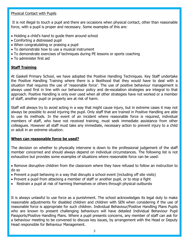#### Physical Contact with Pupils

It is not illegal to touch a pupil and there are occasions when physical contact, other than reasonable force, with a pupil is proper and necessary. Some examples of this are:

- Holding a child's hand to guide them around school
- Comforting a distressed pupil
- When congratulating or praising a pupil
- To demonstrate how to use a musical instrument
- To demonstrate exercises of techniques during PE lessons or sports coaching
- To administer first aid

## **Staff Training**

At Gaskell Primary School, we have adopted the Positive Handling Techniques. Key Staff undertake the Positive Handling Training where there is a likelihood that they would have to deal with a situation that requires the use of 'reasonable force'. The use of positive behaviour management is always used first in line with our behaviour policy and de-escalation strategies are integral to that approach. Positive Handling is only ever used when all other strategies have not worked or a member of staff, another pupil or property are at risk of harm.

Staff will always try to avoid acting in a way that might cause injury, but in extreme cases it may not always be possible to avoid injuring the pupil. Only staff that are trained in Positive Handling are able to use its methods. In the event of an incident where reasonable force is required, individual members of staff, who have not received training, must seek immediate assistance from other colleagues. However all staff must take any immediate, necessary action to prevent injury to a child or adult in an extreme situation.

### **When can reasonable force be used?**

The decision on whether to physically intervene is down to the professional judgement of the staff member concerned and should always depend on individual circumstances. The following list is not exhaustive but provides some examples of situations where reasonable force can be used:

 Remove disruptive children from the classroom where they have refused to follow an instruction to do so

- Prevent a pupil behaving in a way that disrupts a school event (including off site visits)
- Prevent a pupil from attacking a member of staff or another pupil, or to stop a fight
- Restrain a pupil at risk of harming themselves or others through physical outbursts

It is always unlawful to use force as a punishment. The school acknowledges its legal duty to make reasonable adjustments for disabled children and children with SEN when considering if the use of reasonable force is appropriate for such children. Individual Behaviour/Positive Handling Plans Pupils who are known to present challenging behaviours will have detailed Individual Behaviour Pupil Passports/Positive Handling Plans. Where a pupil presents concerns, any member of staff can ask for a behaviour meeting to be convened to discuss key issues, by arrangement with the Head or Deputy Head responsible for Behaviour Management.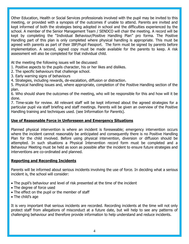Other Education, Health or Social Services professionals involved with the pupil may be invited to this meeting, or provided with a synopsis of the outcomes if unable to attend. Parents are invited and kept informed of both the strategies being adopted in school and the difficulties experienced by the school. A member of the Senior Management Team / SENDCO will chair the meeting. A record will be kept by completing the "Individual Behaviour/Positive Handling Plan" pro forma. The Positive Handling part of this plan is only completed where physical handling is appropriate. This must be agreed with parents as part of their IBP/Pupil Passport. The form must be signed by parents before implementation. A second, signed copy must be made available for the parents to keep. A risk assessment will also be completed for that individual child.

At the meeting the following issues will be discussed:

- 1. Positive aspects to the pupils character, his or her likes and dislikes.
- 2. The specific behaviours that challenge school.
- 3. Early warning signs of behaviours
- 4. Strategies, including rewards, de-escalation, diffusion or distraction.

5. Physical handling issues and, where appropriate, completion of the Positive Handling section of the plan.

6. Who should share the outcomes of the meeting, who will be responsible for this and how will it be done.

7. Time-scale for review. All relevant staff will be kept informed about the agreed strategies for a particular pupil via staff briefing and staff meetings. Parents will be given an overview of the Positive Handling training and techniques used. (see Information for Parents).

# **Use of Reasonable Force in Unforeseen and Emergency Situations**

Planned physical intervention is where an incident is foreseeable; emergency intervention occurs where the incident cannot reasonably be anticipated and consequently there is no Positive Handling Plan for the child involved. Before using physical intervention, diversion or diffusion should be attempted. In such situations a Physical Intervention record form must be completed and a Behaviour Meeting must be held as soon as possible after the incident to ensure future strategies and interventions are co-ordinated and planned.

#### **Reporting and Recording Incidents**

Parents will be informed about serious incidents involving the use of force. In deciding what a serious incident is, the school will consider:

- The pupil's behaviour and level of risk presented at the time of the incident
- The degree of force used
- The effect on the pupil or the member of staff
- The child's age

It is very important that serious incidents are recorded. Recording incidents at the time will not only protect staff from allegations of misconduct at a future date, but will help to see any patterns of challenging behaviour and therefore provide information to help understand and reduce incidents.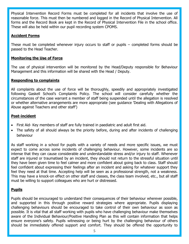Physical Intervention Record Forms must be completed for all incidents that involve the use of reasonable force. This must then be numbered and logged in the Record of Physical Intervention. All forms and the Record Book are kept in the Record of Physical Intervention File in the school office. These will also be held within our pupil recording system CPOMS.

# **Accident Forms**

These must be completed whenever injury occurs to staff or pupils – completed forms should be passed to the Head Teacher.

# **Monitoring the Use of Force**

The use of physical intervention will be monitored by the Head/Deputy responsible for Behaviour Management and this information will be shared with the Head / Deputy.

## **Responding to complaints**

All complaints about the use of force will be thoroughly, speedily and appropriately investigated following Gaskell School's Complaints Policy. The school will consider carefully whether the circumstances of the case warrant a member of staff being suspended until the allegation is resolved or whether alternative arrangements are more appropriate (see guidance 'Dealing with Allegations of Abuse against Teachers and other staff')

## **Post-incident**

- First Aid- Key members of staff are fully trained in paediatric and adult first aid.
- The safety of all should always be the priority before, during and after incidents of challenging behaviour

As staff working in a school for pupils with a variety of needs and more specific issues, we must expect to come across some incidents of challenging behaviour. However, some incidents are so intense that they can cause considerable and understandable stress and/or injury to staff. Whenever staff are injured or traumatised by an incident, they should not return to the stressful situation until they have been given time to feel calmer and more confident about going back to class. Staff should feel confident about expressing their feelings after an incident and asking for whatever support they feel they need at that time. Accepting help will be seen as a professional strength, not a weakness. This may have a knock-on effect on other staff and classes, the class team involved, etc., but all staff must be willing to support colleagues who are hurt or distressed.

# **Pupils**

Pupils should be encouraged to understand their consequences of their behaviour wherever possible, and supported in this through positive reward strategies where appropriate. Pupils displaying challenging behaviours should be encouraged to take control of their own behaviour as soon as possible. It is vital that all staff working with pupils who have challenging behaviour make themselves aware of the Individual Behaviour/Positive Handling Plan as this will contain information that helps ensure everyone's safety. Pupils witnessing or being hurt by the challenging behaviour of others should be immediately offered support and comfort. They should be offered the opportunity to